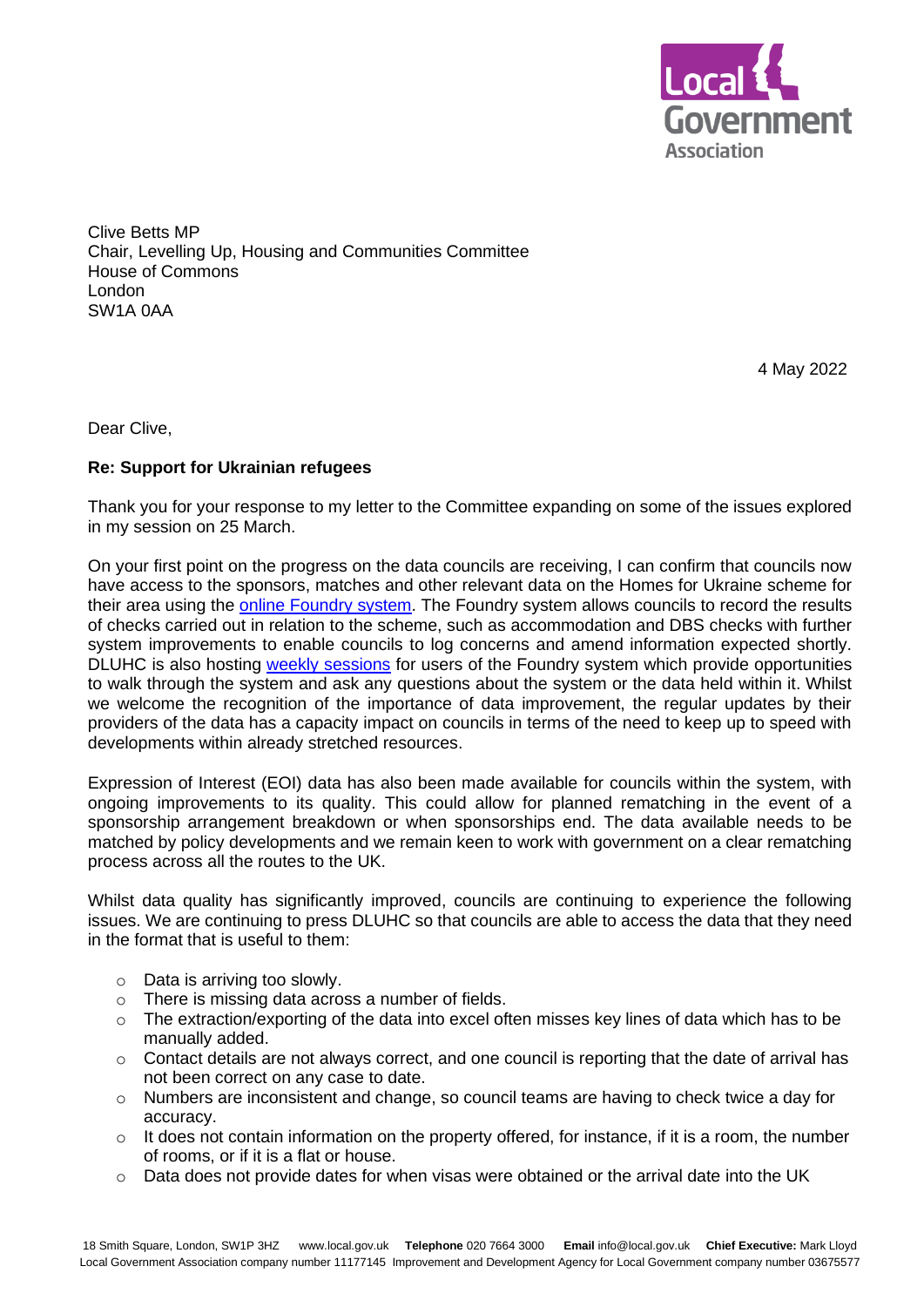

Clive Betts MP Chair, Levelling Up, Housing and Communities Committee House of Commons London SW1A 0AA

4 May 2022

Dear Clive,

## **Re: Support for Ukrainian refugees**

Thank you for your response to my letter to the Committee expanding on some of the issues explored in my session on 25 March.

On your first point on the progress on the data councils are receiving, I can confirm that councils now have access to the sponsors, matches and other relevant data on the Homes for Ukraine scheme for their area using the online [Foundry](https://digital.dclg.gov.uk/jira/servicedesk/customer/portal/11/user/login?destination=portal%2F11) system. The Foundry system allows councils to record the results of checks carried out in relation to the scheme, such as accommodation and DBS checks with further system improvements to enable councils to log concerns and amend information expected shortly. DLUHC is also hosting [weekly sessions](https://www.eventbrite.co.uk/e/weekly-foundry-tech-surgery-tickets-314577147717) for users of the Foundry system which provide opportunities to walk through the system and ask any questions about the system or the data held within it. Whilst we welcome the recognition of the importance of data improvement, the regular updates by their providers of the data has a capacity impact on councils in terms of the need to keep up to speed with developments within already stretched resources.

Expression of Interest (EOI) data has also been made available for councils within the system, with ongoing improvements to its quality. This could allow for planned rematching in the event of a sponsorship arrangement breakdown or when sponsorships end. The data available needs to be matched by policy developments and we remain keen to work with government on a clear rematching process across all the routes to the UK.

Whilst data quality has significantly improved, councils are continuing to experience the following issues. We are continuing to press DLUHC so that councils are able to access the data that they need in the format that is useful to them:

- o Data is arriving too slowly.
- 
- o There is missing data across a number of fields.<br>
o The extraction/exporting of the data into excel of The extraction/exporting of the data into excel often misses key lines of data which has to be manually added.
- $\circ$  Contact details are not always correct, and one council is reporting that the date of arrival has not been correct on any case to date.
- $\circ$  Numbers are inconsistent and change, so council teams are having to check twice a day for accuracy.
- $\circ$  It does not contain information on the property offered, for instance, if it is a room, the number of rooms, or if it is a flat or house.
- $\circ$  Data does not provide dates for when visas were obtained or the arrival date into the UK